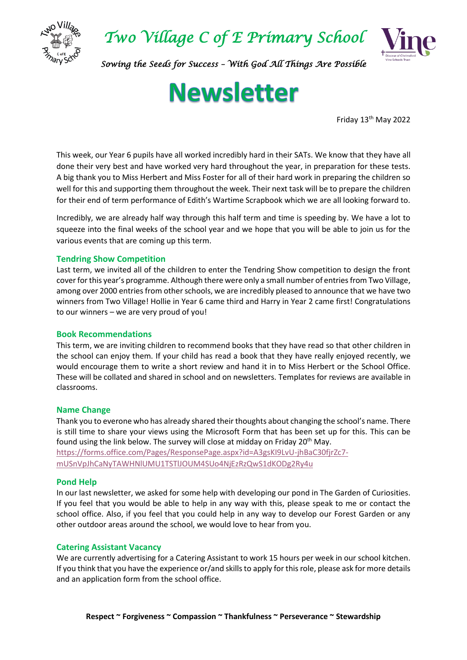

*Two Village C of E Primary School* 



*Sowing the Seeds for Success – With God All Things Are Possible* 

# **Newsletter**

Friday 13th May 2022

This week, our Year 6 pupils have all worked incredibly hard in their SATs. We know that they have all done their very best and have worked very hard throughout the year, in preparation for these tests. A big thank you to Miss Herbert and Miss Foster for all of their hard work in preparing the children so well for this and supporting them throughout the week. Their next task will be to prepare the children for their end of term performance of Edith's Wartime Scrapbook which we are all looking forward to.

Incredibly, we are already half way through this half term and time is speeding by. We have a lot to squeeze into the final weeks of the school year and we hope that you will be able to join us for the various events that are coming up this term.

#### **Tendring Show Competition**

Last term, we invited all of the children to enter the Tendring Show competition to design the front cover for this year's programme. Although there were only a small number of entries from Two Village, among over 2000 entries from other schools, we are incredibly pleased to announce that we have two winners from Two Village! Hollie in Year 6 came third and Harry in Year 2 came first! Congratulations to our winners – we are very proud of you!

#### **Book Recommendations**

This term, we are inviting children to recommend books that they have read so that other children in the school can enjoy them. If your child has read a book that they have really enjoyed recently, we would encourage them to write a short review and hand it in to Miss Herbert or the School Office. These will be collated and shared in school and on newsletters. Templates for reviews are available in classrooms.

#### **Name Change**

Thank you to everone who has already shared their thoughts about changing the school's name. There is still time to share your views using the Microsoft Form that has been set up for this. This can be found using the link below. The survey will close at midday on Friday  $20^{th}$  May. [https://forms.office.com/Pages/ResponsePage.aspx?id=A3gsKI9LvU-jhBaC30fjrZc7](https://forms.office.com/Pages/ResponsePage.aspx?id=A3gsKI9LvU-jhBaC30fjrZc7-mUSnVpJhCaNyTAWHNlUMU1TSTlJOUM4SUo4NjEzRzQwS1dKODg2Ry4u) [mUSnVpJhCaNyTAWHNlUMU1TSTlJOUM4SUo4NjEzRzQwS1dKODg2Ry4u](https://forms.office.com/Pages/ResponsePage.aspx?id=A3gsKI9LvU-jhBaC30fjrZc7-mUSnVpJhCaNyTAWHNlUMU1TSTlJOUM4SUo4NjEzRzQwS1dKODg2Ry4u)

#### **Pond Help**

In our last newsletter, we asked for some help with developing our pond in The Garden of Curiosities. If you feel that you would be able to help in any way with this, please speak to me or contact the school office. Also, if you feel that you could help in any way to develop our Forest Garden or any other outdoor areas around the school, we would love to hear from you.

#### **Catering Assistant Vacancy**

We are currently advertising for a Catering Assistant to work 15 hours per week in our school kitchen. If you think that you have the experience or/and skills to apply for this role, please ask for more details and an application form from the school office.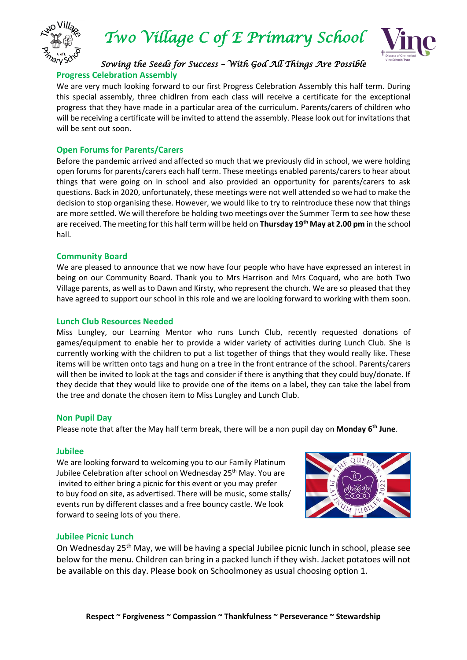

*Two Village C of E Primary School* 



#### *Sowing the Seeds for Success – With God All Things Are Possible*  **Progress Celebration Assembly**

We are very much looking forward to our first Progress Celebration Assembly this half term. During this special assembly, three chidlren from each class will receive a certificate for the exceptional progress that they have made in a particular area of the curriculum. Parents/carers of children who will be receiving a certificate will be invited to attend the assembly. Please look out for invitations that will be sent out soon.

#### **Open Forums for Parents/Carers**

Before the pandemic arrived and affected so much that we previously did in school, we were holding open forums for parents/carers each half term. These meetings enabled parents/carers to hear about things that were going on in school and also provided an opportunity for parents/carers to ask questions. Back in 2020, unfortunately, these meetings were not well attended so we had to make the decision to stop organising these. However, we would like to try to reintroduce these now that things are more settled. We will therefore be holding two meetings over the Summer Term to see how these are received. The meeting for this half term will be held on **Thursday 19th May at 2.00 pm** in the school hall.

#### **Community Board**

We are pleased to announce that we now have four people who have have expressed an interest in being on our Community Board. Thank you to Mrs Harrison and Mrs Coquard, who are both Two Village parents, as well as to Dawn and Kirsty, who represent the church. We are so pleased that they have agreed to support our school in this role and we are looking forward to working with them soon.

#### **Lunch Club Resources Needed**

Miss Lungley, our Learning Mentor who runs Lunch Club, recently requested donations of games/equipment to enable her to provide a wider variety of activities during Lunch Club. She is currently working with the children to put a list together of things that they would really like. These items will be written onto tags and hung on a tree in the front entrance of the school. Parents/carers will then be invited to look at the tags and consider if there is anything that they could buy/donate. If they decide that they would like to provide one of the items on a label, they can take the label from the tree and donate the chosen item to Miss Lungley and Lunch Club.

#### **Non Pupil Day**

Please note that after the May half term break, there will be a non pupil day on **Monday 6 th June**.

#### **Jubilee**

We are looking forward to welcoming you to our Family Platinum Jubilee Celebration after school on Wednesday 25<sup>th</sup> May. You are invited to either bring a picnic for this event or you may prefer to buy food on site, as advertised. There will be music, some stalls/ events run by different classes and a free bouncy castle. We look forward to seeing lots of you there.



#### **Jubilee Picnic Lunch**

On Wednesday 25<sup>th</sup> May, we will be having a special Jubilee picnic lunch in school, please see below for the menu. Children can bring in a packed lunch if they wish. Jacket potatoes will not be available on this day. Please book on Schoolmoney as usual choosing option 1.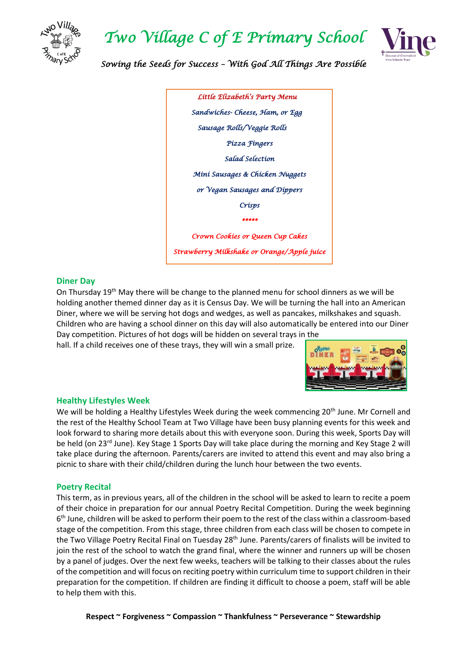

### *Two Village C of E Primary School*



*Sowing the Seeds for Success – With God All Things Are Possible* 

| Líttle Elízabeth's Party Menu              |
|--------------------------------------------|
| Sandwiches- Cheese, Ham, or Egg            |
| Sausage Rolls/Veggie Rolls                 |
| Pízza Fíngers                              |
| Salad Selection                            |
| Míní Sausages & Chícken Nuggets            |
| or Vegan Sausages and Dippers              |
| Crísps                                     |
| *****                                      |
| Crown Cookies or Queen Cup Cakes           |
| Strawberry Milkshake or Orange/Apple juice |
|                                            |

#### **Diner Day**

On Thursday 19th May there will be change to the planned menu for school dinners as we will be holding another themed dinner day as it is Census Day. We will be turning the hall into an American Diner, where we will be serving hot dogs and wedges, as well as pancakes, milkshakes and squash. Children who are having a school dinner on this day will also automatically be entered into our Diner Day competition. Pictures of hot dogs will be hidden on several trays in the

hall. If a child receives one of these trays, they will win a small prize.



#### **Healthy Lifestyles Week**

We will be holding a Healthy Lifestyles Week during the week commencing 20<sup>th</sup> June. Mr Cornell and the rest of the Healthy School Team at Two Village have been busy planning events for this week and look forward to sharing more details about this with everyone soon. During this week, Sports Day will be held (on 23<sup>rd</sup> June). Key Stage 1 Sports Day will take place during the morning and Key Stage 2 will take place during the afternoon. Parents/carers are invited to attend this event and may also bring a picnic to share with their child/children during the lunch hour between the two events.

#### **Poetry Recital**

This term, as in previous years, all of the children in the school will be asked to learn to recite a poem of their choice in preparation for our annual Poetry Recital Competition. During the week beginning 6<sup>th</sup> June, children will be asked to perform their poem to the rest of the class within a classroom-based stage of the competition. From this stage, three children from each class will be chosen to compete in the Two Village Poetry Recital Final on Tuesday 28<sup>th</sup> June. Parents/carers of finalists will be invited to join the rest of the school to watch the grand final, where the winner and runners up will be chosen by a panel of judges. Over the next few weeks, teachers will be talking to their classes about the rules of the competition and will focus on reciting poetry within curriculum time to support children in their preparation for the competition. If children are finding it difficult to choose a poem, staff will be able to help them with this.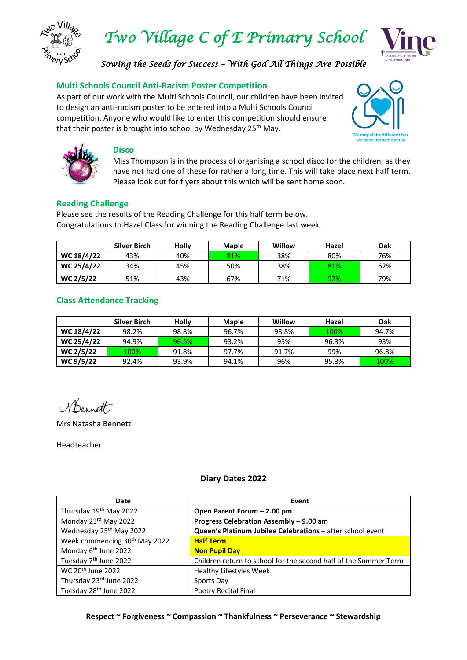

*Two Village C of E Primary School* 



*Sowing the Seeds for Success – With God All Things Are Possible* 

#### **Multi Schools Council Anti-Racism Poster Competition**

As part of our work with the Multi Schools Council, our children have been invited to design an anti-racism poster to be entered into a Multi Schools Council competition. Anyone who would like to enter this competition should ensure that their poster is brought into school by Wednesday 25<sup>th</sup> May.





#### **Disco**

Miss Thompson is in the process of organising a school disco for the children, as they have not had one of these for rather a long time. This will take place next half term. Please look out for flyers about this which will be sent home soon.

#### **Reading Challenge**

Please see the results of the Reading Challenge for this half term below. Congratulations to Hazel Class for winning the Reading Challenge last week.

|            | <b>Silver Birch</b> | Holly | <b>Maple</b> | Willow | Hazel | <b>Oak</b> |
|------------|---------------------|-------|--------------|--------|-------|------------|
| WC 18/4/22 | 43%                 | 40%   | 81%          | 38%    | 80%   | 76%        |
| WC 25/4/22 | 34%                 | 45%   | 50%          | 38%    | 81%   | 62%        |
| WC 2/5/22  | 51%                 | 43%   | 67%          | 71%    | 92%   | 79%        |

#### **Class Attendance Tracking**

|            | Silver Birch | <b>Holly</b> | <b>Maple</b> | Willow | Hazel | <b>Oak</b> |
|------------|--------------|--------------|--------------|--------|-------|------------|
| WC 18/4/22 | 98.2%        | 98.8%        | 96.7%        | 98.8%  | 100%  | 94.7%      |
| WC 25/4/22 | 94.9%        | 96.5%        | 93.2%        | 95%    | 96.3% | 93%        |
| WC 2/5/22  | 100%         | 91.8%        | 97.7%        | 91.7%  | 99%   | 96.8%      |
| WC 9/5/22  | 92.4%        | 93.9%        | 94.1%        | 96%    | 95.3% | 100%       |

Mrs Natasha Bennett

Headteacher

**Diary Dates 2022**

| Date                                      | Event                                                            |
|-------------------------------------------|------------------------------------------------------------------|
| Thursday 19 <sup>th</sup> May 2022        | Open Parent Forum - 2.00 pm                                      |
| Monday 23rd May 2022                      | Progress Celebration Assembly - 9.00 am                          |
| Wednesday 25 <sup>th</sup> May 2022       | Queen's Platinum Jubilee Celebrations - after school event       |
| Week commencing 30 <sup>th</sup> May 2022 | <b>Half Term</b>                                                 |
| Monday 6 <sup>th</sup> June 2022          | <b>Non Pupil Day</b>                                             |
| Tuesday 7 <sup>th</sup> June 2022         | Children return to school for the second half of the Summer Term |
| WC 20 <sup>th</sup> June 2022             | <b>Healthy Lifestyles Week</b>                                   |
| Thursday 23rd June 2022                   | Sports Day                                                       |
| Tuesday 28 <sup>th</sup> June 2022        | <b>Poetry Recital Final</b>                                      |